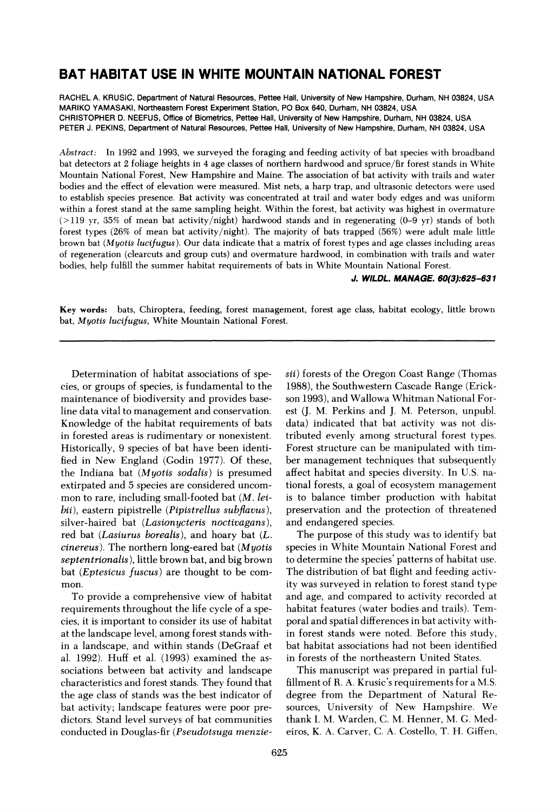# **BAT HABITAT USE IN WHITE MOUNTAIN NATIONAL FOREST**

RACHEL A. KRUSIC, Department of Natural Resources, Pettee Hall, University of New Hampshire, Durham, NH 03824, USA MARIKO YAMASAKI, Northeastern Forest Experiment Station, PO Box 640, Durham, NH 03824, USA CHRISTOPHER D. NEEFUS, Office of Biometrics, Pettee Hall, University of New Hampshire, Durham, NH 03824, USA PETER J. PEKINS, Department of Natural Resources, Pettee Hall, University of New Hampshire, Durham, NH 03824, USA

*Abstract:* In 1992 and 1993, we surveyed the foraging and feeding activity of bat species with broadband bat detectors at 2 foliage heights in 4 age classes of northern hardwood and spruce/fir forest stands in White Mountain National Forest, New Hampshire and Maine. The association of bat activity with trails and water bodies and the effect of elevation were measured. Mist nets, a harp trap, and ultrasonic detectors were used to establish species presence. Bat activity was concentrated at trail and water body edges and was uniform within a forest stand at the same sampling height. Within the forest, bat activity was highest in overmature (>l19 yr, 35% of mean bat activity/night) hardwood stands and in regenerating (0-9 yr) stands of both forest types (26% of mean bat activity /night). The majority of bats trapped (56%) were adult male little brown bat (M *yotis lucifugus* ). Our data indicate that a matrix of forest types and age classes including areas of regeneration (clearcuts and group cuts) and overmature hardwood, in combination with trails and water bodies, help fulfill the summer habitat requirements of bats in White Mountain National Forest.

#### **J. WILDL. MANAGE. 60(3):625-631**

Key words: bats, Chiroptera, feeding, forest management, forest age class, habitat ecology, little brown bat, *Myotis lucifugus,* White Mountain National Forest.

Determination of habitat associations of species, or groups of species, is fundamental to the maintenance of biodiversity and provides baseline data vital to management and conservation. Knowledge of the habitat requirements of bats in forested areas is rudimentary or nonexistent. Historically, 9 species of bat have been identified in New England (Godin 1977). Of these, the Indiana bat (M *yotis sodalis)* is presumed extirpated and 5 species are considered uncommon to rare, including small-footed bat (M. *lei*bii), eastern pipistrelle *(Pipistrellus subfiavus* ), silver-haired bat *(Lasionycteris noctivagans* ), red bat *(Lasiurus borealis* ), and hoary bat (L. *cinereus).* The northern long-eared bat *(Myotis septentrionalis* ), little brown bat, and big brown bat *(Eptesicus fuscus)* are thought to be common.

To provide a comprehensive view of habitat requirements throughout the life cycle of a species, it is important to consider its use of habitat at the landscape level, among forest stands within a landscape, and within stands (DeGraaf et al. 1992). Huff et al. (1993) examined the associations between bat activity and landscape characteristics and forest stands. They found that the age class of stands was the best indicator of bat activity; landscape features were poor predictors. Stand level surveys of bat communities conducted in Douglas-fir *(Pseudotsuga menzie-* sii) forests of the Oregon Coast Range (Thomas 1988), the Southwestern Cascade Range (Erickson 1993), and Wallowa Whitman National Forest (J. M. Perkins and J. M. Peterson, unpubl. data) indicated that bat activity was not distributed evenly among structural forest types. Forest structure can be manipulated with timber management techniques that subsequently affect habitat and species diversity. In U.S. national forests, a goal of ecosystem management is to balance timber production with habitat preservation and the protection of threatened and endangered species.

The purpose of this study was to identify bat species in White Mountain National Forest and to determine the species' patterns of habitat use. The distribution of bat flight and feeding activity was surveyed in relation to forest stand type and age, and compared to activity recorded at habitat features (water bodies and trails). Temporal and spatial differences in bat activity within forest stands were noted. Before this study, bat habitat associations had not been identified in forests of the northeastern United States.

This manuscript was prepared in partial fulfillment of R. A. Krusic's requirements for a M.S. degree from the Department of Natural Resources, University of New Hampshire. We thank I. M. Warden, C. M. Henner, M. G. Medeiros, K. A. Carver, C. A. Costello, T. H. Giffen,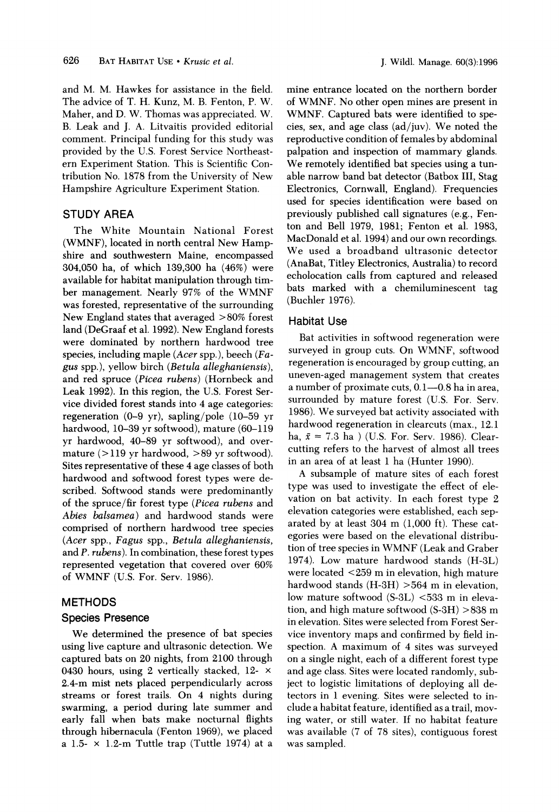and M. M. Hawkes for assistance in the field. The advice of T. H. Kunz, M. B. Fenton, P. W. Maher, and D. W. Thomas was appreciated. W. B. Leak and J. A. Litvaitis provided editorial comment. Principal funding for this study was provided by the U.S. Forest Service Northeastern Experiment Station. This is Scientific Contribution No. 1878 from the University of New Hampshire Agriculture Experiment Station.

### **STUDY AREA**

The White Mountain National Forest (WMNF), located in north central New Hampshire and southwestern Maine, encompassed 304,050 ha, of which 139,300 ha (46%) were available for habitat manipulation through timber management. Nearly 97% of the WMNF was forested, representative of the surrounding New England states that averaged >80% forest land (DeGraaf et al. 1992). New England forests were dominated by northern hardwood tree species, including maple *(Acer* spp.), beech *(Fagus* spp.), yellow birch *(Betula alleghaniensis),*  and red spruce *(Picea rubens)* (Hornbeck and Leak 1992). In this region, the U.S. Forest Service divided forest stands into 4 age categories: regeneration (0-9 yr), sapling/pole (10-59 yr) hardwood, 10-39 yr softwood), mature (60-119 yr hardwood, 40-89 yr softwood), and overmature (>119 yr hardwood, >89 yr softwood). Sites representative of these 4 age classes of both hardwood and softwood forest types were described. Softwood stands were predominantly of the spruce/fir forest type *(Picea rubens* and *Abies balsamea)* and hardwood stands were comprised of northern hardwood tree species *(Acer* spp., *Fagus* spp., *Betula alleghaniensis,*  and *P. rubens* ). In combination, these forest types represented vegetation that covered over 60% of WMNF (U.S. For. Serv. 1986).

## **METHODS**

#### **Species Presence**

We determined the presence of bat species using live capture and ultrasonic detection. We captured bats on 20 nights, from 2100 through 0430 hours, using 2 vertically stacked,  $12- \times$ 2.4-m mist nets placed perpendicularly across streams or forest trails. On 4 nights during swarming, a period during late summer and early fall when bats make nocturnal flights through hibernacula (Fenton 1969), we placed a 1.5-  $\times$  1.2-m Tuttle trap (Tuttle 1974) at a mine entrance located on the northern border of WMNF. No other open mines are present in WMNF. Captured bats were identified to species, sex, and age class (ad/juv). We noted the reproductive condition of females by abdominal palpation and inspection of mammary glands. We remotely identified bat species using a tunable narrow band bat detector (Batbox III, Stag Electronics, Cornwall, England). Frequencies used for species identification were based on previously published call signatures (e.g., Fenton and Bell 1979, 1981; Fenton et al. 1983, MacDonald et al. 1994) and our own recordings. We used a broadband ultrasonic detector (AnaBat, Titley Electronics, Australia) to record echolocation calls from captured and released bats marked with a chemiluminescent tag (Buchler 1976).

## **Habitat Use**

Bat activities in softwood regeneration were surveyed in group cuts. On WMNF, softwood regeneration is encouraged by group cutting, an uneven-aged management system that creates a number of proximate cuts,  $0.1-0.8$  ha in area, surrounded by mature forest (U.S. For. Serv. 1986). We surveyed bat activity associated with hardwood regeneration in clearcuts (max., 12.1 ha, *x* = 7.3 ha ) (U.S. For. Serv. 1986). Clearcutting refers to the harvest of almost all trees in an area of at least 1 ha (Hunter 1990).

A subsample of mature sites of each forest type was used to investigate the effect of elevation on bat activity. In each forest type 2 elevation categories were established, each separated by at least 304 m (1,000 ft). These categories were based on the elevational distribution of tree species in WMNF (Leak and Graber 1974). Low mature hardwood stands (H-3L) were located  $\langle 259 \text{ m} \rangle$  in elevation, high mature hardwood stands  $(H-3H) > 564$  m in elevation, low mature softwood (S-3L) <533 m in elevation, and high mature softwood (S-3H) > 838 m in elevation. Sites were selected from Forest Service inventory maps and confirmed by field inspection. A maximum of 4 sites was surveyed on a single night, each of a different forest type and age class. Sites were located randomly, subject to logistic limitations of deploying all detectors in 1 evening. Sites were selected to include a habitat feature, identified as a trail, moving water, or still water. If no habitat feature was available (7 of 78 sites), contiguous forest was sampled.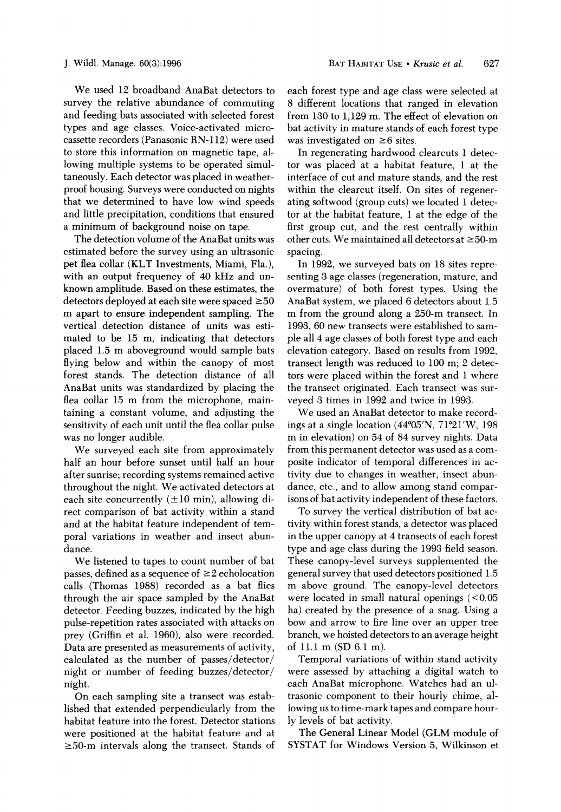We used 12 broadband AnaBat detectors to survey the relative abundance of commuting and feeding bats associated with selected forest types and age classes. Voice-activated microcassette recorders (Panasonic RN-112) were used to store this information on magnetic tape, allowing multiple systems to be operated simultaneously. Each detector was placed in weatherproof housing. Surveys were conducted on nights that we determined to have low wind speeds and little precipitation, conditions that ensured a minimum of background noise on tape.

The detection volume of the AnaBat units was estimated before the survey using an ultrasonic pet flea collar (KLT Investments, Miami, Fla.), with an output frequency of 40 kHz and unknown amplitude. Based on these estimates, the detectors deployed at each site were spaced  $\geq 50$ m apart to ensure independent sampling. The vertical detection distance of units was estimated to be 15 m, indicating that detectors placed 1.5 m aboveground would sample bats flying below and within the canopy of most forest stands. The detection distance of all AnaBat units was standardized by placing the flea collar 15 m from the microphone, maintaining a constant volume, and adjusting the sensitivity of each unit until the flea collar pulse was no longer audible.

We surveyed each site from approximately half an hour before sunset until half an hour after sunrise; recording systems remained active throughout the night. We activated detectors at each site concurrently  $(\pm 10 \text{ min})$ , allowing direct comparison of bat activity within a stand and at the habitat feature independent of temporal variations in weather and insect abundance.

We listened to tapes to count number of bat passes, defined as a sequence of  $\geq 2$  echolocation calls (Thomas 1988) recorded as a bat flies through the air space sampled by the AnaBat detector. Feeding buzzes, indicated by the high pulse-repetition rates associated with attacks on prey (Griffin et al. 1960), also were recorded. Data are presented as measurements of activity, calculated as the number of passes/detector/ night or number of feeding buzzes/ detector/ night.

On each sampling site a transect was established that extended perpendicularly from the habitat feature into the forest. Detector stations were positioned at the habitat feature and at  $\geq$ 50-m intervals along the transect. Stands of

each forest type and age class were selected at 8 different locations that ranged in elevation from 130 to 1,129 m. The effect of elevation on bat activity in mature stands of each forest type was investigated on  $\geq 6$  sites.

In regenerating hardwood clearcuts 1 detector was placed at a habitat feature, l at the interface of cut and mature stands, and the rest within the clearcut itself. On sites of regenerating softwood (group cuts) we located 1 detector at the habitat feature, 1 at the edge of the first group cut, and the rest centrally within other cuts. We maintained all detectors at  $\geq$ 50-m spacing.

In 1992, we surveyed bats on 18 sites representing 3 age classes (regeneration, mature, and overmature) of both forest types. Using the AnaBat system, we placed 6 detectors about 1.5 m from the ground along a 250-m transect. In 1993, 60 new transects were established to sample all 4 age classes of both forest type and each elevation category. Based on results from 1992, transect length was reduced to 100 m; 2 detectors were placed within the forest and 1 where the transect originated. Each transect was surveyed 3 times in 1992 and twice in 1993.

We used an AnaBat detector to make recordings at a single location  $(44^{\circ}05'N, 71^{\circ}21'W, 198)$ m in elevation) on 54 of 84 survey nights. Data from this permanent detector was used as a composite indicator of temporal differences in activity due to changes in weather, insect abundance, etc., and to allow among stand comparisons of bat activity independent of these factors.

To survey the vertical distribution of bat activity within forest stands, a detector was placed in the upper canopy at 4 transects of each forest type and age class during the 1993 field season. These canopy-level surveys supplemented the general survey that used detectors positioned 1.5 m above ground. The canopy-level detectors were located in small natural openings  $(< 0.05$ ha) created by the presence of a snag. Using a bow and arrow to fire line over an upper tree branch, we hoisted detectors to an average height of 11.l m (SD 6.1 m).

Temporal variations of within stand activity were assessed by attaching a digital watch to each AnaBat microphone. Watches had an ultrasonic component to their hourly chime, allowing us to time-mark tapes and compare hourly levels of bat activity.

The General Linear Model (GLM module of SYSTAT for Windows Version 5, Wilkinson et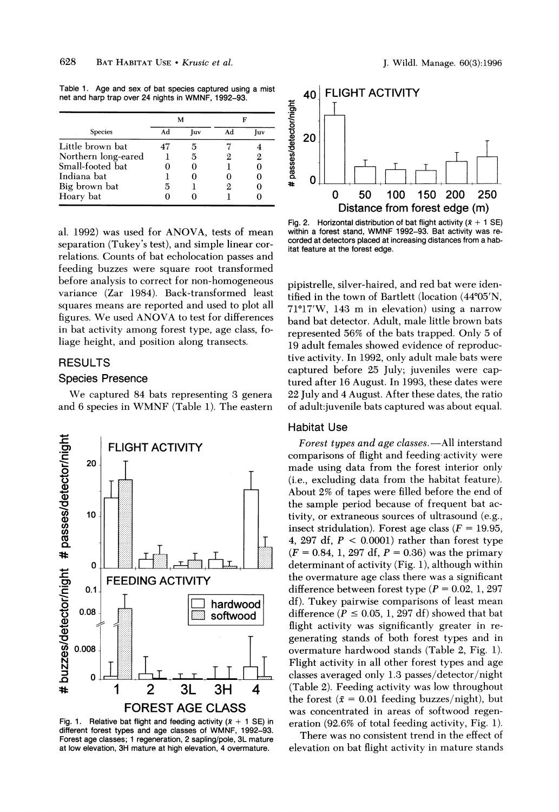Table 1. Age and sex of bat species captured using a mist net and harp trap over 24 nights in WMNF, 1992-93.

|                     |    | м   |    |     |  |
|---------------------|----|-----|----|-----|--|
| <b>Species</b>      | Ad | Juv | Ad | Juv |  |
| Little brown bat    | 47 | 5   |    |     |  |
| Northern long-eared |    | 5   | 2  | 2   |  |
| Small-footed bat    |    |     |    |     |  |
| Indiana bat         |    |     |    |     |  |
| Big brown bat       |    |     | 9. |     |  |
| Hoary bat           |    |     |    |     |  |

al. 1992) was used for ANOVA, tests of mean separation (Tukey's test), and simple linear correlations. Counts of bat echolocation passes and feeding buzzes were square root transformed before analysis to correct for non-homogeneous variance (Zar 1984). Back-transformed least squares means are reported and used to plot all figures. We used ANOVA to test for differences in bat activity among forest type, age class, foliage height, and position along transects.

# RESULTS

## Species Presence

We captured 84 bats representing 3 genera and 6 species in WMNF (Table 1). The eastern



Fig. 1. Relative bat flight and feeding activity  $(x + 1 \text{ SE})$  in different forest types and age classes of WMNF, 1992-93. Forest age classes; 1 regeneration, 2 sapling/pole, 3L mature at low elevation, 3H mature at high elevation, 4 overmature.



Fig. 2. Horizontal distribution of bat flight activity  $(\bar{x} + 1 \text{ SE})$ within a forest stand, WMNF 1992-93. Bat activity was recorded at detectors placed at increasing distances from a habitat feature at the forest edge.

pipistrelle, silver-haired, and red bat were identified in the town of Bartlett (location (44°05'N, 71°17'W, 143 min elevation) using a narrow band bat detector. Adult, male little brown bats represented 56% of the bats trapped. Only 5 of 19 adult females showed evidence of reproductive activity. In 1992, only adult male bats were captured before 25 July; juveniles were captured after 16 August. In 1993, these dates were 22 July and 4 August. After these dates, the ratio of adult:juvenile bats captured was about equal.

#### Habitat Use

*Forest types and age classes.*—All interstand comparisons of flight and feeding·activity were made using data from the forest interior only (i.e., excluding data from the habitat feature). About 2% of tapes were filled before the end of the sample period because of frequent bat activity, or extraneous sources of ultrasound (e.g., insect stridulation). Forest age class ( $F = 19.95$ , 4, 297 df,  $P < 0.0001$  rather than forest type  $(F = 0.84, 1, 297 \text{ df}, P = 0.36)$  was the primary determinant of activity (Fig. 1), although within the overmature age class there was a significant difference between forest type  $(P = 0.02, 1, 297)$ df). Tukey pairwise comparisons of least mean difference ( $P \le 0.05$ , 1, 297 df) showed that bat flight activity was significantly greater in regenerating stands of both forest types and in overmature hardwood stands (Table 2, Fig. 1). Flight activity in all other forest types and age classes averaged only 1.3 passes/detector/night (Table 2). Feeding activity was low throughout the forest ( $\bar{x} = 0.01$  feeding buzzes/night), but was concentrated in areas of softwood regeneration (92.6% of total feeding activity, Fig. 1).

There was no consistent trend in the effect of elevation on bat flight activity in mature stands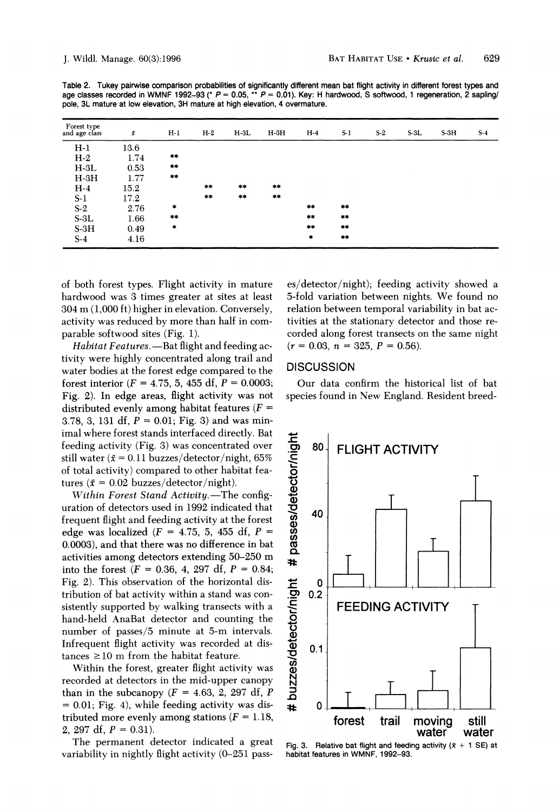Table 2. Tukey pairwise comparison probabilities of significantly different mean bat flight activity in different forest types and age classes recorded in WMNF 1992-93 (\*  $P = 0.05$ , \*\*  $P = 0.01$ ). Key: H hardwood, S softwood, 1 regeneration, 2 sapling/ pole, 3L mature at low elevation, 3H mature at high elevation, 4 overmature.

| Forest type<br>and age class | Ĩ    | $H-1$         | $H-2$ | $H-3L$ | $H-3H$ | $H-4$  | $S-1$ | $S-2$ | $S-3L$ | $S-3H$ | $S-4$ |
|------------------------------|------|---------------|-------|--------|--------|--------|-------|-------|--------|--------|-------|
| $H-1$                        | 13.6 |               |       |        |        |        |       |       |        |        |       |
| $H-2$                        | 1.74 | $***$         |       |        |        |        |       |       |        |        |       |
| $H-3L$                       | 0.53 | $\star\star$  |       |        |        |        |       |       |        |        |       |
| $H-3H$                       | 1.77 | $\pm 1$       |       |        |        |        |       |       |        |        |       |
| $H-4$                        | 15.2 |               | $+ +$ | $***$  | $***$  |        |       |       |        |        |       |
| $S-1$                        | 17.2 |               | $***$ | $***$  | **     |        |       |       |        |        |       |
| $S-2$                        | 2.76 | $\frac{1}{2}$ |       |        |        | $***$  | **    |       |        |        |       |
| $S-3L$                       | 1.66 | **            |       |        |        | **     | **    |       |        |        |       |
| $S-3H$                       | 0.49 | $\frac{1}{2}$ |       |        |        | $***$  | **    |       |        |        |       |
| $S-4$                        | 4.16 |               |       |        |        | $\ast$ | **    |       |        |        |       |

of both forest types. Flight activity in mature hardwood was 3 times greater at sites at least 304 m (1,000 ft) higher in elevation. Conversely, activity was reduced by more than half in comparable softwood sites (Fig. 1).

*Habitat Features.-Bat* flight and feeding activity were highly concentrated along trail and water bodies at the forest edge compared to the forest interior ( $F = 4.75, 5, 455$  df,  $P = 0.0003$ ; Fig. 2). In edge areas, flight activity was not distributed evenly among habitat features  $(F =$ 3.78, 3, 131 df,  $P = 0.01$ ; Fig. 3) and was minimal where forest stands interfaced directly. Bat feeding activity (Fig. 3) was concentrated over still water ( $\bar{x} = 0.11$  buzzes/detector/night, 65% of total activity) compared to other habitat features ( $\bar{x} = 0.02$  buzzes/detector/night).

*Within Forest Stand Activity.-The* configuration of detectors used in 1992 indicated that frequent flight and feeding activity at the forest edge was localized ( $F = 4.75$ , 5, 455 df,  $P =$ 0.0003), and that there was no difference in bat activities among detectors extending 50-250 m into the forest  $(F = 0.36, 4, 297 \text{ df}, P = 0.84;$ Fig. 2). This observation of the horizontal distribution of bat activity within a stand was consistently supported by walking transects with a hand-held AnaBat detector and counting the number of passes/5 minute at 5-m intervals. Infrequent flight activity was recorded at distances  $\geq 10$  m from the habitat feature.

Within the forest, greater flight activity was recorded at detectors in the mid-upper canopy than in the subcanopy  $(F = 4.63, 2, 297$  df, P  $= 0.01$ ; Fig. 4), while feeding activity was distributed more evenly among stations  $(F = 1.18,$ 2, 297 df,  $P = 0.31$ ).

The permanent detector indicated a great variability in nightly flight activity (0-251 passes/detector/night); feeding activity showed a 5-fold variation between nights. We found no relation between temporal variability in bat activities at the stationary detector and those recorded along forest transects on the same night  $(r = 0.03, n = 325, P = 0.56)$ .

#### **DISCUSSION**

Our data confirm the historical list of bat species found in New England. Resident breed-



Fig. 3. Relative bat flight and feeding activity  $(X + 1 \text{ SE})$  at habitat features in WMNF, 1992-93.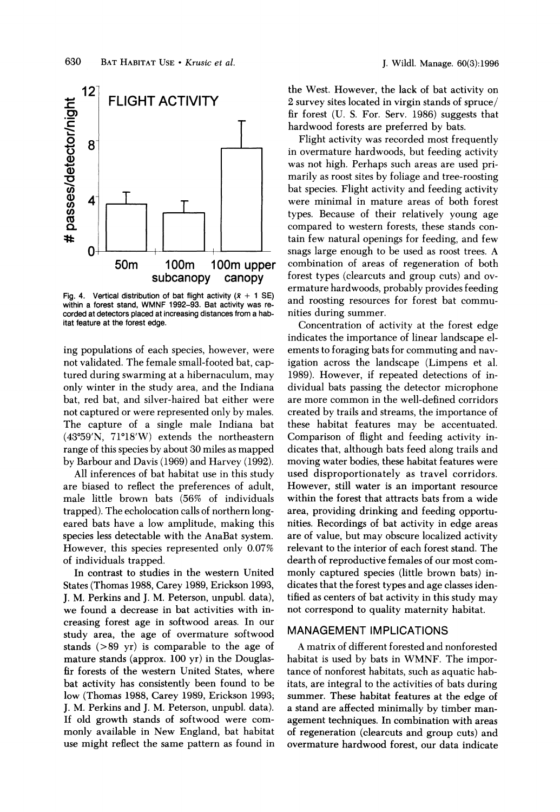

Fig. 4. Vertical distribution of bat flight activity  $(\bar{x} + 1 \text{ SE})$ within a forest stand, WMNF 1992-93. Bat activity was recorded at detectors placed at increasing distances from a habitat feature at the forest edge.

ing populations of each species, however, were not validated. The female small-footed bat, captured during swarming at a hibernaculum, may only winter in the study area, and the Indiana bat, red bat, and silver-haired bat either were not captured or were represented only by males. The capture of a single male Indiana bat (43°59'N, 71°18'W) extends the northeastern range of this species by about 30 miles as mapped by Barbour and Davis (1969) and Harvey (1992).

All inferences of bat habitat use in this study are biased to reflect the preferences of adult, male little brown bats (56% of individuals trapped). The echolocation calls of northern longeared bats have a low amplitude, making this species less detectable with the AnaBat system. However, this species represented only 0.07% of individuals trapped.

In contrast to studies in the western United States (Thomas 1988, Carey 1989, Erickson 1993, **J.** M. Perkins and J. M. Peterson, unpubl. data), we found a decrease in bat activities with increasing forest age in softwood areas. In our study area, the age of overmature softwood stands (>89 yr) is comparable to the age of mature stands (approx. 100 yr) in the Douglasfir forests of the western United States, where bat activity has consistently been found to be low (Thomas 1988, Carey 1989, Erickson 1993; J. M. Perkins and J. M. Peterson, unpubl. data). If old growth stands of softwood were commonly available in New England, bat habitat use might reflect the same pattern as found in the West. However, the lack of bat activity on 2 survey sites located in virgin stands of spruce/ fir forest (U. S. For. Serv. 1986) suggests that hardwood forests are preferred by bats.

Flight activity was recorded most frequently in overmature hardwoods, but feeding activity was not high. Perhaps such areas are used primarily as roost sites by foliage and tree-roosting bat species. Flight activity and feeding activity were minimal in mature areas of both forest types. Because of their relatively young age compared to western forests, these stands contain few natural openings for feeding, and few snags large enough to be used as roost trees. A combination of areas of regeneration of both forest types (clearcuts and group cuts) and overmature hardwoods, probably provides feeding and roosting resources for forest bat communities during summer.

Concentration of activity at the forest edge indicates the importance of linear landscape elements to foraging bats for commuting and navigation across the landscape (Limpens et al. 1989). However, if repeated detections of individual bats passing the detector microphone are more common in the well-defined corridors created by trails and streams, the importance of these habitat features may be accentuated. Comparison of flight and feeding activity indicates that, although bats feed along trails and moving water bodies, these habitat features were used disproportionately as travel corridors. However, still water is an important resource within the forest that attracts bats from a wide area, providing drinking and feeding opportunities. Recordings of bat activity in edge areas are of value, but may obscure localized activity relevant to the interior of each forest stand. The dearth of reproductive females of our most commonly captured species (little brown bats) indicates that the forest types and age classes identified as centers of bat activity in this study may not correspond to quality maternity habitat.

#### **MANAGEMENT IMPLICATIONS**

A matrix of different forested and nonforested habitat is used by bats in WMNF. The importance of nonforest habitats, such as aquatic habitats, are integral to the activities of bats during summer. These habitat features at the edge of a stand are affected minimally by timber management techniques. In combination with areas of regeneration (clearcuts and group cuts) and overmature hardwood forest, our data indicate